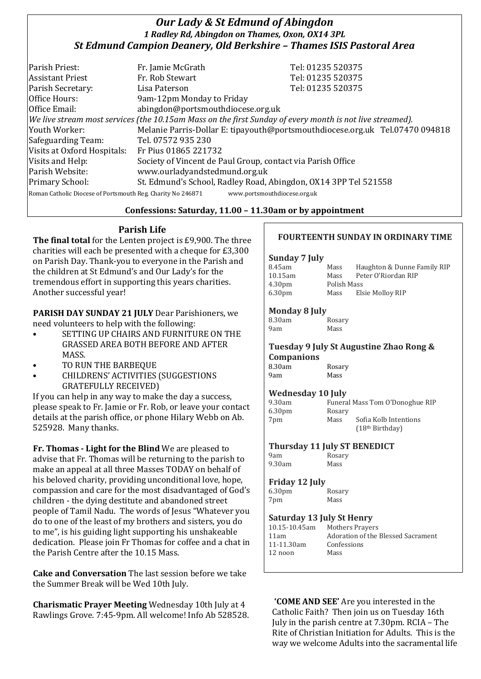# *Our Lady & St Edmund of Abingdon 1 Radley Rd, Abingdon on Thames, Oxon, OX14 3PL St Edmund Campion Deanery, Old Berkshire – Thames ISIS Pastoral Area*

| Parish Priest:                                              | Fr. Jamie McGrath                                                                                        | Tel: 01235 520375                                                            |  |
|-------------------------------------------------------------|----------------------------------------------------------------------------------------------------------|------------------------------------------------------------------------------|--|
| <b>Assistant Priest</b>                                     | Fr. Rob Stewart                                                                                          | Tel: 01235 520375                                                            |  |
| Parish Secretary:                                           | Lisa Paterson                                                                                            | Tel: 01235 520375                                                            |  |
| Office Hours:                                               | 9am-12pm Monday to Friday                                                                                |                                                                              |  |
| Office Email:                                               | abingdon@portsmouthdiocese.org.uk                                                                        |                                                                              |  |
|                                                             | We live stream most services (the 10.15am Mass on the first Sunday of every month is not live streamed). |                                                                              |  |
| Youth Worker:                                               |                                                                                                          | Melanie Parris-Dollar E: tipayouth@portsmouthdiocese.org.uk Tel.07470 094818 |  |
| Safeguarding Team:                                          | Tel. 07572 935 230                                                                                       |                                                                              |  |
| Visits at Oxford Hospitals:                                 | Fr Pius 01865 221732                                                                                     |                                                                              |  |
| Visits and Help:                                            | Society of Vincent de Paul Group, contact via Parish Office                                              |                                                                              |  |
| Parish Website:                                             | www.ourladyandstedmund.org.uk                                                                            |                                                                              |  |
| Primary School:                                             | St. Edmund's School, Radley Road, Abingdon, OX14 3PP Tel 521558                                          |                                                                              |  |
| Roman Catholic Diocese of Portsmouth Reg. Charity No 246871 | www.portsmouthdiocese.org.uk                                                                             |                                                                              |  |

## **Confessions: Saturday, 11.00 – 11.30am or by appointment**

# **Parish Life**

**The final total** for the Lenten project is £9,900. The three charities will each be presented with a cheque for £3,300 on Parish Day. Thank-you to everyone in the Parish and the children at St Edmund's and Our Lady's for the tremendous effort in supporting this years charities. Another successful year!

**PARISH DAY SUNDAY 21 JULY** Dear Parishioners, we need volunteers to help with the following:

- SETTING UP CHAIRS AND FURNITURE ON THE GRASSED AREA BOTH BEFORE AND AFTER MASS.
- TO RUN THE BARBEQUE
- CHILDRENS' ACTIVITIES (SUGGESTIONS GRATEFULLY RECEIVED)

If you can help in any way to make the day a success, please speak to Fr. Jamie or Fr. Rob, or leave your contact details at the parish office, or phone Hilary Webb on Ab. 525928. Many thanks.

**Fr. Thomas - Light for the Blind** We are pleased to advise that Fr. Thomas will be returning to the parish to make an appeal at all three Masses TODAY on behalf of his beloved charity, providing unconditional love, hope, compassion and care for the most disadvantaged of God's children - the dying destitute and abandoned street people of Tamil Nadu. The words of Jesus "Whatever you do to one of the least of my brothers and sisters, you do to me", is his guiding light supporting his unshakeable dedication. Please join Fr Thomas for coffee and a chat in the Parish Centre after the 10.15 Mass.

**Cake and Conversation** The last session before we take the Summer Break will be Wed 10th July.

**Charismatic Prayer Meeting** Wednesday 10th July at 4 Rawlings Grove. 7:45-9pm. All welcome! Info Ab 528528.

## **FOURTEENTH SUNDAY IN ORDINARY TIME**

#### **Sunday 7 July**

| 8.45am             | Mass        | Haughton & Dunne Family RIP |
|--------------------|-------------|-----------------------------|
| 10.15am            | Mass        | Peter O'Riordan RIP         |
| 4.30 <sub>pm</sub> | Polish Mass |                             |
| 6.30 <sub>pm</sub> | Mass        | Elsie Molloy RIP            |
|                    |             |                             |

#### **Monday 8 July**

| 8.30am |  | Rosary |
|--------|--|--------|
| 9am    |  | Mass   |

# **Tuesday 9 July St Augustine Zhao Rong & Companions**

| 8.30am | Rosary |
|--------|--------|
| 9am    | Mass   |

## **Wednesday 10 July**

| 9.30am             |        | Funeral Mass Tom O'Donoghue RIP |
|--------------------|--------|---------------------------------|
| 6.30 <sub>pm</sub> | Rosary |                                 |
| 7pm                | Mass   | Sofia Kolb Intentions           |
|                    |        | (18 <sup>th</sup> Birthday)     |

### **Thursday 11 July ST BENEDICT**

9am Rosary 9.30am Mass

### **Friday 12 July**

| 6.30 <sub>pm</sub> | Rosary |
|--------------------|--------|
| 7pm                | Mass   |

### **Saturday 13 July St Henry**

**Mothers Prayers** Adoration of the Blessed Sacrament Confessions Mass

**'COME AND SEE'** Are you interested in the Catholic Faith? Then join us on Tuesday 16th July in the parish centre at 7.30pm. RCIA – The Rite of Christian Initiation for Adults. This is the way we welcome Adults into the sacramental life